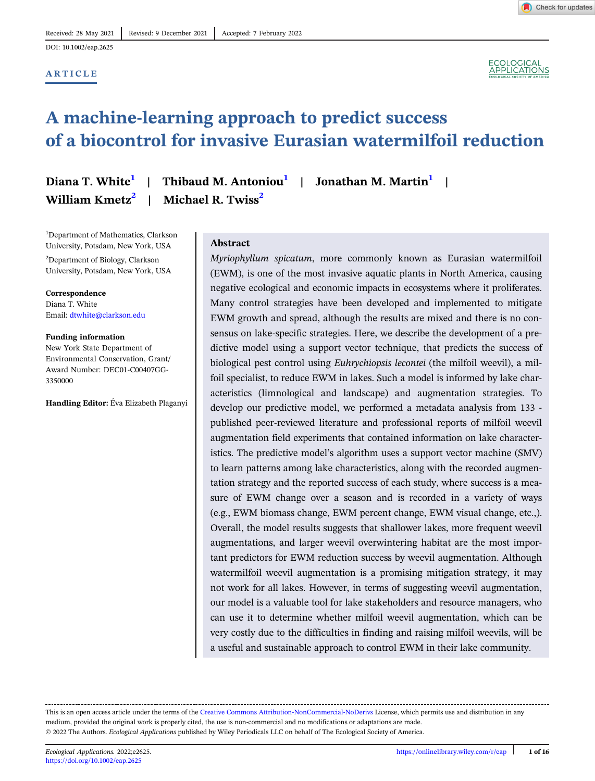## ARTICLE



# A machine-learning approach to predict success of a biocontrol for invasive Eurasian watermilfoil reduction

William  $Kmetz^2$  | Michael R. Twiss<sup>2</sup>

Diana T. White<sup>1</sup> | Thibaud M. Antoniou<sup>1</sup> | Jonathan M. Martin<sup>1</sup> |

<sup>1</sup>Department of Mathematics, Clarkson University, Potsdam, New York, USA 2 Department of Biology, Clarkson University, Potsdam, New York, USA

Correspondence Diana T. White Email: [dtwhite@clarkson.edu](mailto:dtwhite@clarkson.edu)

Funding information New York State Department of

Environmental Conservation, Grant/ Award Number: DEC01-C00407GG-3350000

Handling Editor: Éva Elizabeth Plaganyi

# Abstract

Myriophyllum spicatum, more commonly known as Eurasian watermilfoil (EWM), is one of the most invasive aquatic plants in North America, causing negative ecological and economic impacts in ecosystems where it proliferates. Many control strategies have been developed and implemented to mitigate EWM growth and spread, although the results are mixed and there is no consensus on lake-specific strategies. Here, we describe the development of a predictive model using a support vector technique, that predicts the success of biological pest control using Euhrychiopsis lecontei (the milfoil weevil), a milfoil specialist, to reduce EWM in lakes. Such a model is informed by lake characteristics (limnological and landscape) and augmentation strategies. To develop our predictive model, we performed a metadata analysis from 133 published peer-reviewed literature and professional reports of milfoil weevil augmentation field experiments that contained information on lake characteristics. The predictive model's algorithm uses a support vector machine (SMV) to learn patterns among lake characteristics, along with the recorded augmentation strategy and the reported success of each study, where success is a measure of EWM change over a season and is recorded in a variety of ways (e.g., EWM biomass change, EWM percent change, EWM visual change, etc.,). Overall, the model results suggests that shallower lakes, more frequent weevil augmentations, and larger weevil overwintering habitat are the most important predictors for EWM reduction success by weevil augmentation. Although watermilfoil weevil augmentation is a promising mitigation strategy, it may not work for all lakes. However, in terms of suggesting weevil augmentation, our model is a valuable tool for lake stakeholders and resource managers, who can use it to determine whether milfoil weevil augmentation, which can be very costly due to the difficulties in finding and raising milfoil weevils, will be a useful and sustainable approach to control EWM in their lake community.

This is an open access article under the terms of the [Creative Commons Attribution-NonCommercial-NoDerivs](http://creativecommons.org/licenses/by-nc-nd/4.0/) License, which permits use and distribution in any medium, provided the original work is properly cited, the use is non-commercial and no modifications or adaptations are made. © 2022 The Authors. Ecological Applications published by Wiley Periodicals LLC on behalf of The Ecological Society of America.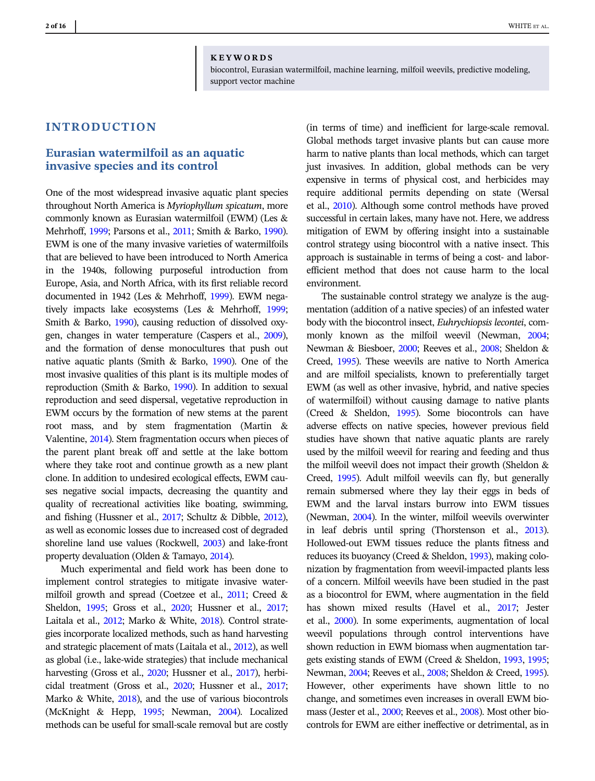#### KEYWORDS

biocontrol, Eurasian watermilfoil, machine learning, milfoil weevils, predictive modeling, support vector machine

# INTRODUCTION

# Eurasian watermilfoil as an aquatic invasive species and its control

One of the most widespread invasive aquatic plant species throughout North America is Myriophyllum spicatum, more commonly known as Eurasian watermilfoil (EWM) (Les & Mehrhoff, [1999](#page-15-0); Parsons et al., [2011;](#page-15-0) Smith & Barko, [1990\)](#page-15-0). EWM is one of the many invasive varieties of watermilfoils that are believed to have been introduced to North America in the 1940s, following purposeful introduction from Europe, Asia, and North Africa, with its first reliable record documented in 1942 (Les & Mehrhoff, [1999](#page-15-0)). EWM negatively impacts lake ecosystems (Les & Mehrhoff, [1999;](#page-15-0) Smith & Barko, [1990](#page-15-0)), causing reduction of dissolved oxygen, changes in water temperature (Caspers et al., [2009\)](#page-14-0), and the formation of dense monocultures that push out native aquatic plants (Smith & Barko, [1990](#page-15-0)). One of the most invasive qualities of this plant is its multiple modes of reproduction (Smith & Barko, [1990\)](#page-15-0). In addition to sexual reproduction and seed dispersal, vegetative reproduction in EWM occurs by the formation of new stems at the parent root mass, and by stem fragmentation (Martin & Valentine, [2014\)](#page-15-0). Stem fragmentation occurs when pieces of the parent plant break off and settle at the lake bottom where they take root and continue growth as a new plant clone. In addition to undesired ecological effects, EWM causes negative social impacts, decreasing the quantity and quality of recreational activities like boating, swimming, and fishing (Hussner et al., [2017](#page-14-0); Schultz & Dibble, [2012\)](#page-15-0), as well as economic losses due to increased cost of degraded shoreline land use values (Rockwell, [2003](#page-15-0)) and lake-front property devaluation (Olden & Tamayo, [2014\)](#page-15-0).

Much experimental and field work has been done to implement control strategies to mitigate invasive watermilfoil growth and spread (Coetzee et al., [2011;](#page-14-0) Creed & Sheldon, [1995](#page-14-0); Gross et al., [2020;](#page-14-0) Hussner et al., [2017;](#page-14-0) Laitala et al., [2012](#page-15-0); Marko & White, [2018\)](#page-15-0). Control strategies incorporate localized methods, such as hand harvesting and strategic placement of mats (Laitala et al., [2012\)](#page-15-0), as well as global (i.e., lake-wide strategies) that include mechanical harvesting (Gross et al., [2020](#page-14-0); Hussner et al., [2017](#page-14-0)), herbicidal treatment (Gross et al., [2020](#page-14-0); Hussner et al., [2017;](#page-14-0) Marko & White, [2018\)](#page-15-0), and the use of various biocontrols (McKnight & Hepp, [1995;](#page-15-0) Newman, [2004](#page-15-0)). Localized methods can be useful for small-scale removal but are costly

(in terms of time) and inefficient for large-scale removal. Global methods target invasive plants but can cause more harm to native plants than local methods, which can target just invasives. In addition, global methods can be very expensive in terms of physical cost, and herbicides may require additional permits depending on state (Wersal et al., [2010](#page-15-0)). Although some control methods have proved successful in certain lakes, many have not. Here, we address mitigation of EWM by offering insight into a sustainable control strategy using biocontrol with a native insect. This approach is sustainable in terms of being a cost- and laborefficient method that does not cause harm to the local environment.

The sustainable control strategy we analyze is the augmentation (addition of a native species) of an infested water body with the biocontrol insect, Euhrychiopsis lecontei, commonly known as the milfoil weevil (Newman, [2004](#page-15-0); Newman & Biesboer, [2000](#page-15-0); Reeves et al., [2008;](#page-15-0) Sheldon & Creed, [1995](#page-15-0)). These weevils are native to North America and are milfoil specialists, known to preferentially target EWM (as well as other invasive, hybrid, and native species of watermilfoil) without causing damage to native plants (Creed & Sheldon, [1995\)](#page-14-0). Some biocontrols can have adverse effects on native species, however previous field studies have shown that native aquatic plants are rarely used by the milfoil weevil for rearing and feeding and thus the milfoil weevil does not impact their growth (Sheldon & Creed, [1995](#page-15-0)). Adult milfoil weevils can fly, but generally remain submersed where they lay their eggs in beds of EWM and the larval instars burrow into EWM tissues (Newman, [2004\)](#page-15-0). In the winter, milfoil weevils overwinter in leaf debris until spring (Thorstenson et al., [2013](#page-15-0)). Hollowed-out EWM tissues reduce the plants fitness and reduces its buoyancy (Creed & Sheldon, [1993\)](#page-14-0), making colonization by fragmentation from weevil-impacted plants less of a concern. Milfoil weevils have been studied in the past as a biocontrol for EWM, where augmentation in the field has shown mixed results (Havel et al., [2017;](#page-14-0) Jester et al., [2000](#page-14-0)). In some experiments, augmentation of local weevil populations through control interventions have shown reduction in EWM biomass when augmentation targets existing stands of EWM (Creed & Sheldon, [1993,](#page-14-0) [1995](#page-14-0); Newman, [2004;](#page-15-0) Reeves et al., [2008](#page-15-0); Sheldon & Creed, [1995](#page-15-0)). However, other experiments have shown little to no change, and sometimes even increases in overall EWM biomass (Jester et al., [2000;](#page-14-0) Reeves et al., [2008](#page-15-0)). Most other biocontrols for EWM are either ineffective or detrimental, as in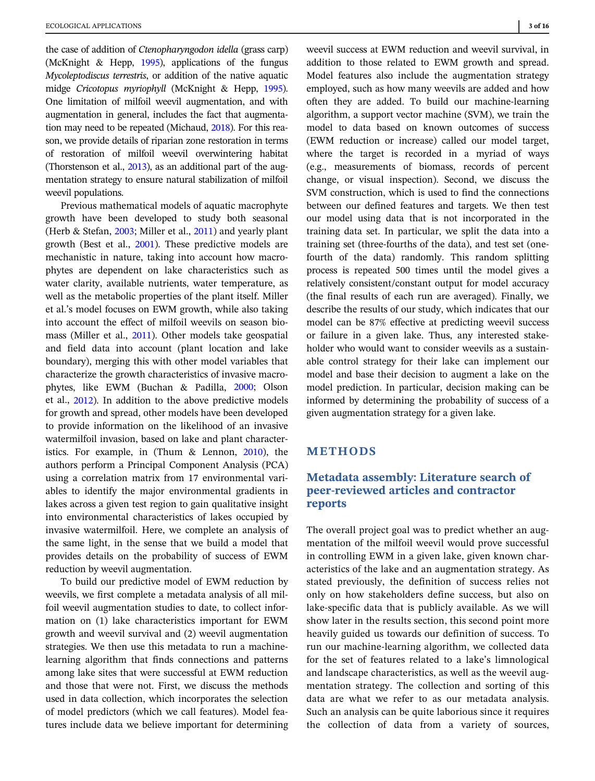the case of addition of Ctenopharyngodon idella (grass carp) (McKnight & Hepp, [1995\)](#page-15-0), applications of the fungus Mycoleptodiscus terrestris, or addition of the native aquatic midge Cricotopus myriophyll (McKnight & Hepp, [1995\)](#page-15-0). One limitation of milfoil weevil augmentation, and with augmentation in general, includes the fact that augmentation may need to be repeated (Michaud, [2018](#page-15-0)). For this reason, we provide details of riparian zone restoration in terms of restoration of milfoil weevil overwintering habitat (Thorstenson et al., [2013\)](#page-15-0), as an additional part of the augmentation strategy to ensure natural stabilization of milfoil weevil populations.

Previous mathematical models of aquatic macrophyte growth have been developed to study both seasonal (Herb & Stefan, [2003](#page-14-0); Miller et al., [2011\)](#page-15-0) and yearly plant growth (Best et al., [2001\)](#page-14-0). These predictive models are mechanistic in nature, taking into account how macrophytes are dependent on lake characteristics such as water clarity, available nutrients, water temperature, as well as the metabolic properties of the plant itself. Miller et al.'s model focuses on EWM growth, while also taking into account the effect of milfoil weevils on season biomass (Miller et al., [2011\)](#page-15-0). Other models take geospatial and field data into account (plant location and lake boundary), merging this with other model variables that characterize the growth characteristics of invasive macrophytes, like EWM (Buchan & Padilla, [2000;](#page-14-0) Olson et al., [2012](#page-15-0)). In addition to the above predictive models for growth and spread, other models have been developed to provide information on the likelihood of an invasive watermilfoil invasion, based on lake and plant characteristics. For example, in (Thum & Lennon, [2010](#page-15-0)), the authors perform a Principal Component Analysis (PCA) using a correlation matrix from 17 environmental variables to identify the major environmental gradients in lakes across a given test region to gain qualitative insight into environmental characteristics of lakes occupied by invasive watermilfoil. Here, we complete an analysis of the same light, in the sense that we build a model that provides details on the probability of success of EWM reduction by weevil augmentation.

To build our predictive model of EWM reduction by weevils, we first complete a metadata analysis of all milfoil weevil augmentation studies to date, to collect information on (1) lake characteristics important for EWM growth and weevil survival and (2) weevil augmentation strategies. We then use this metadata to run a machinelearning algorithm that finds connections and patterns among lake sites that were successful at EWM reduction and those that were not. First, we discuss the methods used in data collection, which incorporates the selection of model predictors (which we call features). Model features include data we believe important for determining

weevil success at EWM reduction and weevil survival, in addition to those related to EWM growth and spread. Model features also include the augmentation strategy employed, such as how many weevils are added and how often they are added. To build our machine-learning algorithm, a support vector machine (SVM), we train the model to data based on known outcomes of success (EWM reduction or increase) called our model target, where the target is recorded in a myriad of ways (e.g., measurements of biomass, records of percent change, or visual inspection). Second, we discuss the SVM construction, which is used to find the connections between our defined features and targets. We then test our model using data that is not incorporated in the training data set. In particular, we split the data into a training set (three-fourths of the data), and test set (onefourth of the data) randomly. This random splitting process is repeated 500 times until the model gives a relatively consistent/constant output for model accuracy (the final results of each run are averaged). Finally, we describe the results of our study, which indicates that our model can be 87% effective at predicting weevil success or failure in a given lake. Thus, any interested stakeholder who would want to consider weevils as a sustainable control strategy for their lake can implement our model and base their decision to augment a lake on the model prediction. In particular, decision making can be informed by determining the probability of success of a given augmentation strategy for a given lake.

# METHODS

# Metadata assembly: Literature search of peer-reviewed articles and contractor reports

The overall project goal was to predict whether an augmentation of the milfoil weevil would prove successful in controlling EWM in a given lake, given known characteristics of the lake and an augmentation strategy. As stated previously, the definition of success relies not only on how stakeholders define success, but also on lake-specific data that is publicly available. As we will show later in the results section, this second point more heavily guided us towards our definition of success. To run our machine-learning algorithm, we collected data for the set of features related to a lake's limnological and landscape characteristics, as well as the weevil augmentation strategy. The collection and sorting of this data are what we refer to as our metadata analysis. Such an analysis can be quite laborious since it requires the collection of data from a variety of sources,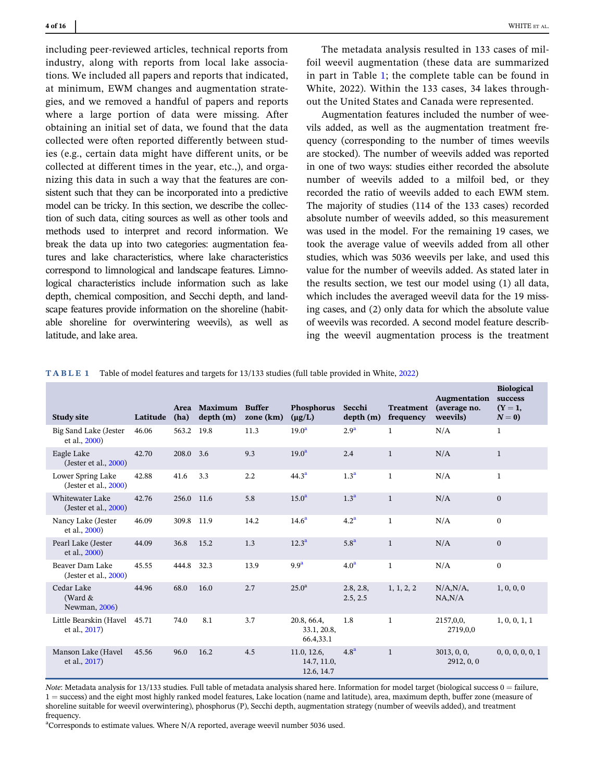<span id="page-3-0"></span>including peer-reviewed articles, technical reports from industry, along with reports from local lake associations. We included all papers and reports that indicated, at minimum, EWM changes and augmentation strategies, and we removed a handful of papers and reports where a large portion of data were missing. After obtaining an initial set of data, we found that the data collected were often reported differently between studies (e.g., certain data might have different units, or be collected at different times in the year, etc.,), and organizing this data in such a way that the features are consistent such that they can be incorporated into a predictive model can be tricky. In this section, we describe the collection of such data, citing sources as well as other tools and methods used to interpret and record information. We break the data up into two categories: augmentation features and lake characteristics, where lake characteristics correspond to limnological and landscape features. Limnological characteristics include information such as lake depth, chemical composition, and Secchi depth, and landscape features provide information on the shoreline (habitable shoreline for overwintering weevils), as well as latitude, and lake area.

Biological

The metadata analysis resulted in 133 cases of milfoil weevil augmentation (these data are summarized in part in Table 1; the complete table can be found in White, 2022). Within the 133 cases, 34 lakes throughout the United States and Canada were represented.

Augmentation features included the number of weevils added, as well as the augmentation treatment frequency (corresponding to the number of times weevils are stocked). The number of weevils added was reported in one of two ways: studies either recorded the absolute number of weevils added to a milfoil bed, or they recorded the ratio of weevils added to each EWM stem. The majority of studies (114 of the 133 cases) recorded absolute number of weevils added, so this measurement was used in the model. For the remaining 19 cases, we took the average value of weevils added from all other studies, which was 5036 weevils per lake, and used this value for the number of weevils added. As stated later in the results section, we test our model using (1) all data, which includes the averaged weevil data for the 19 missing cases, and (2) only data for which the absolute value of weevils was recorded. A second model feature describing the weevil augmentation process is the treatment

| <b>Study site</b>                           | Latitude | <b>Area</b><br>(ha) | Maximum<br>depth(m) | <b>Buffer</b><br>zone (km) | Phosphorus<br>$(\mu g/L)$                | Secchi<br>depth(m)    | <b>Treatment</b><br>frequency | Augmentation<br>(average no.<br>weevils) | success<br>$(Y=1,$<br>$N=0$ |
|---------------------------------------------|----------|---------------------|---------------------|----------------------------|------------------------------------------|-----------------------|-------------------------------|------------------------------------------|-----------------------------|
| Big Sand Lake (Jester<br>et al., 2000)      | 46.06    | 563.2               | 19.8                | 11.3                       | 19.0 <sup>a</sup>                        | 2.9 <sup>a</sup>      | $\mathbf{1}$                  | N/A                                      | $\mathbf{1}$                |
| Eagle Lake<br>(Jester et al., 2000)         | 42.70    | 208.0               | 3.6                 | 9.3                        | 19.0 <sup>a</sup>                        | 2.4                   | $\mathbf{1}$                  | N/A                                      | $\mathbf{1}$                |
| Lower Spring Lake<br>(Jester et al., 2000)  | 42.88    | 41.6                | 3.3                 | 2.2                        | 44.3 <sup>a</sup>                        | 1.3 <sup>a</sup>      | $\mathbf{1}$                  | N/A                                      | $\mathbf{1}$                |
| Whitewater Lake<br>(Jester et al., $2000$ ) | 42.76    | 256.0               | 11.6                | 5.8                        | 15.0 <sup>a</sup>                        | 1.3 <sup>a</sup>      | $\mathbf{1}$                  | N/A                                      | $\mathbf{0}$                |
| Nancy Lake (Jester<br>et al., 2000)         | 46.09    | 309.8               | 11.9                | 14.2                       | 14.6 <sup>a</sup>                        | 4.2 <sup>a</sup>      | $\mathbf{1}$                  | N/A                                      | $\bf{0}$                    |
| Pearl Lake (Jester<br>et al., 2000)         | 44.09    | 36.8                | 15.2                | 1.3                        | 12.3 <sup>a</sup>                        | 5.8 <sup>a</sup>      | $\mathbf{1}$                  | N/A                                      | $\mathbf{0}$                |
| Beaver Dam Lake<br>(Jester et al., $2000$ ) | 45.55    | 444.8               | 32.3                | 13.9                       | 9.9 <sup>a</sup>                         | 4.0 <sup>a</sup>      | $\mathbf{1}$                  | N/A                                      | $\bf{0}$                    |
| Cedar Lake<br>(Ward &<br>Newman, 2006)      | 44.96    | 68.0                | 16.0                | 2.7                        | 25.0 <sup>a</sup>                        | 2.8, 2.8,<br>2.5, 2.5 | 1, 1, 2, 2                    | N/A, N/A<br>NA, N/A                      | 1, 0, 0, 0                  |
| Little Bearskin (Havel<br>et al., 2017)     | 45.71    | 74.0                | 8.1                 | 3.7                        | 20.8, 66.4,<br>33.1, 20.8,<br>66.4,33.1  | 1.8                   | $\mathbf{1}$                  | 2157,0,0,<br>2719,0,0                    | 1, 0, 0, 1, 1               |
| Manson Lake (Havel<br>et al., 2017)         | 45.56    | 96.0                | 16.2                | 4.5                        | 11.0, 12.6,<br>14.7, 11.0,<br>12.6, 14.7 | 4.8 <sup>a</sup>      | $\mathbf{1}$                  | 3013, 0, 0,<br>2912, 0, 0                | 0, 0, 0, 0, 0, 1            |

TABLE 1 Table of model features and targets for 13/133 studies (full table provided in White, [2022\)](#page-15-0)

Note: Metadata analysis for 13/133 studies. Full table of metadata analysis shared here. Information for model target (biological success  $0 = \text{failure}$ , 1 = success) and the eight most highly ranked model features, Lake location (name and latitude), area, maximum depth, buffer zone (measure of shoreline suitable for weevil overwintering), phosphorus (P), Secchi depth, augmentation strategy (number of weevils added), and treatment frequency.

<sup>a</sup>Corresponds to estimate values. Where N/A reported, average weevil number 5036 used.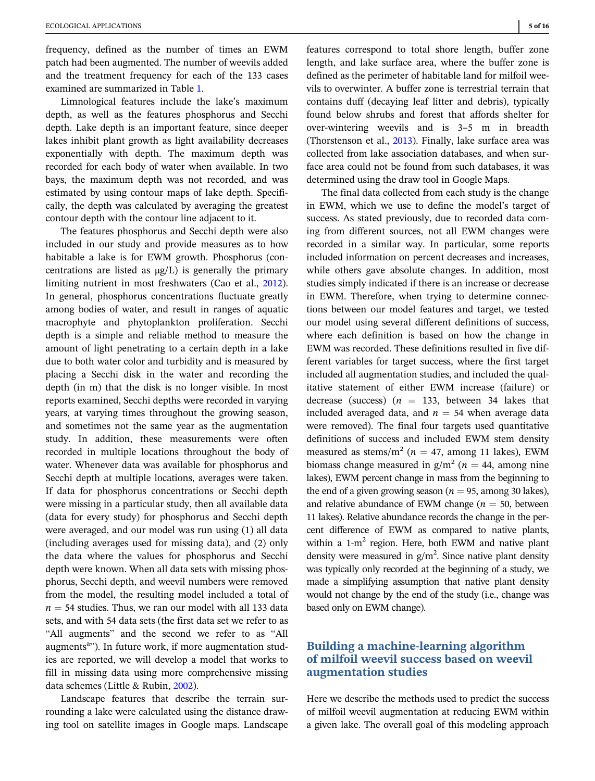frequency, defined as the number of times an EWM patch had been augmented. The number of weevils added and the treatment frequency for each of the 133 cases examined are summarized in Table [1.](#page-3-0)

Limnological features include the lake's maximum depth, as well as the features phosphorus and Secchi depth. Lake depth is an important feature, since deeper lakes inhibit plant growth as light availability decreases exponentially with depth. The maximum depth was recorded for each body of water when available. In two bays, the maximum depth was not recorded, and was estimated by using contour maps of lake depth. Specifically, the depth was calculated by averaging the greatest contour depth with the contour line adjacent to it.

The features phosphorus and Secchi depth were also included in our study and provide measures as to how habitable a lake is for EWM growth. Phosphorus (concentrations are listed as  $\mu$ g/L) is generally the primary limiting nutrient in most freshwaters (Cao et al., [2012\)](#page-14-0). In general, phosphorus concentrations fluctuate greatly among bodies of water, and result in ranges of aquatic macrophyte and phytoplankton proliferation. Secchi depth is a simple and reliable method to measure the amount of light penetrating to a certain depth in a lake due to both water color and turbidity and is measured by placing a Secchi disk in the water and recording the depth (in m) that the disk is no longer visible. In most reports examined, Secchi depths were recorded in varying years, at varying times throughout the growing season, and sometimes not the same year as the augmentation study. In addition, these measurements were often recorded in multiple locations throughout the body of water. Whenever data was available for phosphorus and Secchi depth at multiple locations, averages were taken. If data for phosphorus concentrations or Secchi depth were missing in a particular study, then all available data (data for every study) for phosphorus and Secchi depth were averaged, and our model was run using (1) all data (including averages used for missing data), and (2) only the data where the values for phosphorus and Secchi depth were known. When all data sets with missing phosphorus, Secchi depth, and weevil numbers were removed from the model, the resulting model included a total of  $n = 54$  studies. Thus, we ran our model with all 133 data sets, and with 54 data sets (the first data set we refer to as "All augments" and the second we refer to as "All augments<sup>a</sup>"). In future work, if more augmentation studies are reported, we will develop a model that works to fill in missing data using more comprehensive missing data schemes (Little & Rubin, [2002](#page-15-0)).

Landscape features that describe the terrain surrounding a lake were calculated using the distance drawing tool on satellite images in Google maps. Landscape features correspond to total shore length, buffer zone length, and lake surface area, where the buffer zone is defined as the perimeter of habitable land for milfoil weevils to overwinter. A buffer zone is terrestrial terrain that contains duff (decaying leaf litter and debris), typically found below shrubs and forest that affords shelter for over-wintering weevils and is 3–5 m in breadth (Thorstenson et al., [2013\)](#page-15-0). Finally, lake surface area was collected from lake association databases, and when surface area could not be found from such databases, it was determined using the draw tool in Google Maps.

The final data collected from each study is the change in EWM, which we use to define the model's target of success. As stated previously, due to recorded data coming from different sources, not all EWM changes were recorded in a similar way. In particular, some reports included information on percent decreases and increases, while others gave absolute changes. In addition, most studies simply indicated if there is an increase or decrease in EWM. Therefore, when trying to determine connections between our model features and target, we tested our model using several different definitions of success, where each definition is based on how the change in EWM was recorded. These definitions resulted in five different variables for target success, where the first target included all augmentation studies, and included the qualitative statement of either EWM increase (failure) or decrease (success) ( $n = 133$ , between 34 lakes that included averaged data, and  $n = 54$  when average data were removed). The final four targets used quantitative definitions of success and included EWM stem density measured as stems/m<sup>2</sup> ( $n = 47$ , among 11 lakes), EWM biomass change measured in  $g/m^2$  ( $n = 44$ , among nine lakes), EWM percent change in mass from the beginning to the end of a given growing season ( $n = 95$ , among 30 lakes), and relative abundance of EWM change ( $n = 50$ , between 11 lakes). Relative abundance records the change in the percent difference of EWM as compared to native plants, within a  $1-m^2$  region. Here, both EWM and native plant density were measured in  $g/m^2$ . Since native plant density was typically only recorded at the beginning of a study, we made a simplifying assumption that native plant density would not change by the end of the study (i.e., change was based only on EWM change).

# Building a machine-learning algorithm of milfoil weevil success based on weevil augmentation studies

Here we describe the methods used to predict the success of milfoil weevil augmentation at reducing EWM within a given lake. The overall goal of this modeling approach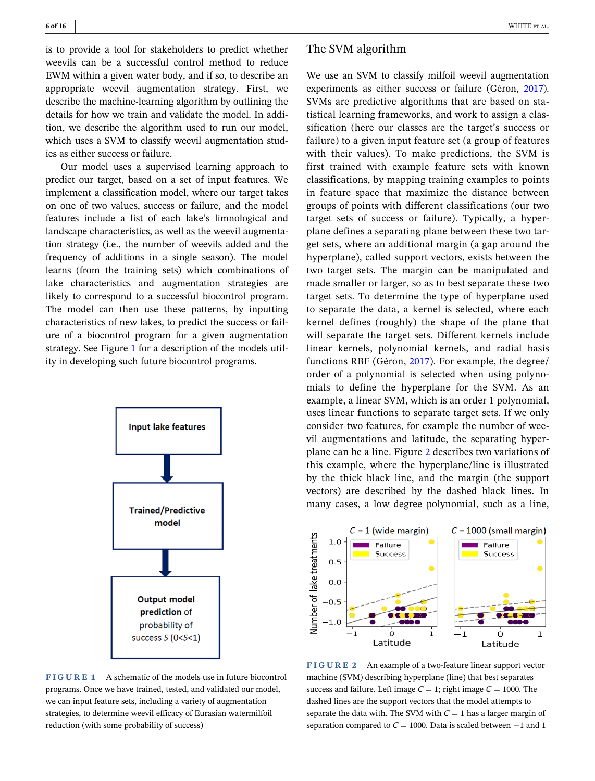is to provide a tool for stakeholders to predict whether weevils can be a successful control method to reduce EWM within a given water body, and if so, to describe an appropriate weevil augmentation strategy. First, we describe the machine-learning algorithm by outlining the details for how we train and validate the model. In addition, we describe the algorithm used to run our model, which uses a SVM to classify weevil augmentation studies as either success or failure.

Our model uses a supervised learning approach to predict our target, based on a set of input features. We implement a classification model, where our target takes on one of two values, success or failure, and the model features include a list of each lake's limnological and landscape characteristics, as well as the weevil augmentation strategy (i.e., the number of weevils added and the frequency of additions in a single season). The model learns (from the training sets) which combinations of lake characteristics and augmentation strategies are likely to correspond to a successful biocontrol program. The model can then use these patterns, by inputting characteristics of new lakes, to predict the success or failure of a biocontrol program for a given augmentation strategy. See Figure 1 for a description of the models utility in developing such future biocontrol programs.



FIGURE 1 A schematic of the models use in future biocontrol programs. Once we have trained, tested, and validated our model, we can input feature sets, including a variety of augmentation strategies, to determine weevil efficacy of Eurasian watermilfoil reduction (with some probability of success)

# The SVM algorithm

We use an SVM to classify milfoil weevil augmentation experiments as either success or failure (Géron, [2017\)](#page-14-0). SVMs are predictive algorithms that are based on statistical learning frameworks, and work to assign a classification (here our classes are the target's success or failure) to a given input feature set (a group of features with their values). To make predictions, the SVM is first trained with example feature sets with known classifications, by mapping training examples to points in feature space that maximize the distance between groups of points with different classifications (our two target sets of success or failure). Typically, a hyperplane defines a separating plane between these two target sets, where an additional margin (a gap around the hyperplane), called support vectors, exists between the two target sets. The margin can be manipulated and made smaller or larger, so as to best separate these two target sets. To determine the type of hyperplane used to separate the data, a kernel is selected, where each kernel defines (roughly) the shape of the plane that will separate the target sets. Different kernels include linear kernels, polynomial kernels, and radial basis functions RBF (Géron, [2017](#page-14-0)). For example, the degree/ order of a polynomial is selected when using polynomials to define the hyperplane for the SVM. As an example, a linear SVM, which is an order 1 polynomial, uses linear functions to separate target sets. If we only consider two features, for example the number of weevil augmentations and latitude, the separating hyperplane can be a line. Figure 2 describes two variations of this example, where the hyperplane/line is illustrated by the thick black line, and the margin (the support vectors) are described by the dashed black lines. In many cases, a low degree polynomial, such as a line,



FIGURE 2 An example of a two-feature linear support vector machine (SVM) describing hyperplane (line) that best separates success and failure. Left image  $C = 1$ ; right image  $C = 1000$ . The dashed lines are the support vectors that the model attempts to separate the data with. The SVM with  $C = 1$  has a larger margin of separation compared to  $C = 1000$ . Data is scaled between  $-1$  and 1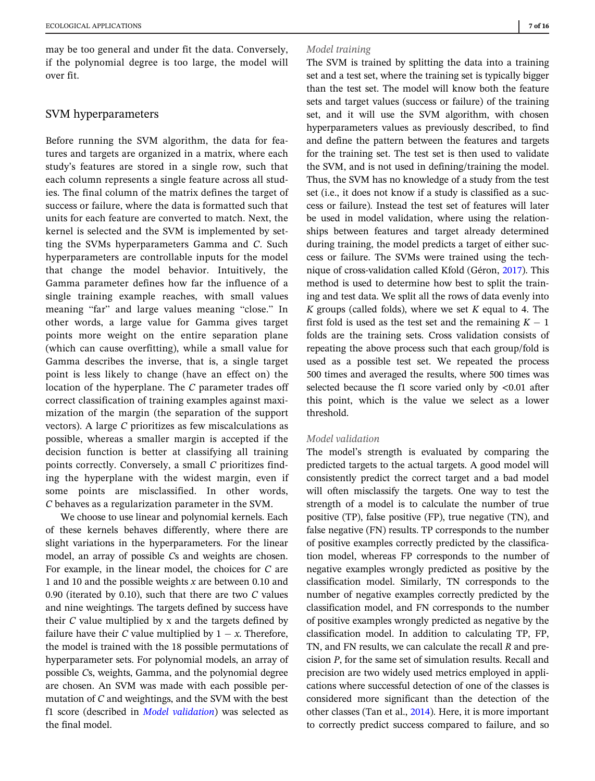may be too general and under fit the data. Conversely, if the polynomial degree is too large, the model will over fit.

# SVM hyperparameters

Before running the SVM algorithm, the data for features and targets are organized in a matrix, where each study's features are stored in a single row, such that each column represents a single feature across all studies. The final column of the matrix defines the target of success or failure, where the data is formatted such that units for each feature are converted to match. Next, the kernel is selected and the SVM is implemented by setting the SVMs hyperparameters Gamma and C. Such hyperparameters are controllable inputs for the model that change the model behavior. Intuitively, the Gamma parameter defines how far the influence of a single training example reaches, with small values meaning "far" and large values meaning "close." In other words, a large value for Gamma gives target points more weight on the entire separation plane (which can cause overfitting), while a small value for Gamma describes the inverse, that is, a single target point is less likely to change (have an effect on) the location of the hyperplane. The C parameter trades off correct classification of training examples against maximization of the margin (the separation of the support vectors). A large C prioritizes as few miscalculations as possible, whereas a smaller margin is accepted if the decision function is better at classifying all training points correctly. Conversely, a small C prioritizes finding the hyperplane with the widest margin, even if some points are misclassified. In other words, C behaves as a regularization parameter in the SVM.

We choose to use linear and polynomial kernels. Each of these kernels behaves differently, where there are slight variations in the hyperparameters. For the linear model, an array of possible Cs and weights are chosen. For example, in the linear model, the choices for C are 1 and 10 and the possible weights  $x$  are between 0.10 and 0.90 (iterated by 0.10), such that there are two  $C$  values and nine weightings. The targets defined by success have their  $C$  value multiplied by x and the targets defined by failure have their C value multiplied by  $1 - x$ . Therefore, the model is trained with the 18 possible permutations of hyperparameter sets. For polynomial models, an array of possible Cs, weights, Gamma, and the polynomial degree are chosen. An SVM was made with each possible permutation of C and weightings, and the SVM with the best f1 score (described in *Model validation*) was selected as the final model.

#### Model training

The SVM is trained by splitting the data into a training set and a test set, where the training set is typically bigger than the test set. The model will know both the feature sets and target values (success or failure) of the training set, and it will use the SVM algorithm, with chosen hyperparameters values as previously described, to find and define the pattern between the features and targets for the training set. The test set is then used to validate the SVM, and is not used in defining/training the model. Thus, the SVM has no knowledge of a study from the test set (i.e., it does not know if a study is classified as a success or failure). Instead the test set of features will later be used in model validation, where using the relationships between features and target already determined during training, the model predicts a target of either success or failure. The SVMs were trained using the technique of cross-validation called Kfold (Géron, [2017\)](#page-14-0). This method is used to determine how best to split the training and test data. We split all the rows of data evenly into K groups (called folds), where we set  $K$  equal to 4. The first fold is used as the test set and the remaining  $K - 1$ folds are the training sets. Cross validation consists of repeating the above process such that each group/fold is used as a possible test set. We repeated the process 500 times and averaged the results, where 500 times was selected because the f1 score varied only by <0.01 after this point, which is the value we select as a lower threshold.

#### Model validation

The model's strength is evaluated by comparing the predicted targets to the actual targets. A good model will consistently predict the correct target and a bad model will often misclassify the targets. One way to test the strength of a model is to calculate the number of true positive (TP), false positive (FP), true negative (TN), and false negative (FN) results. TP corresponds to the number of positive examples correctly predicted by the classification model, whereas FP corresponds to the number of negative examples wrongly predicted as positive by the classification model. Similarly, TN corresponds to the number of negative examples correctly predicted by the classification model, and FN corresponds to the number of positive examples wrongly predicted as negative by the classification model. In addition to calculating TP, FP, TN, and FN results, we can calculate the recall R and precision P, for the same set of simulation results. Recall and precision are two widely used metrics employed in applications where successful detection of one of the classes is considered more significant than the detection of the other classes (Tan et al., [2014](#page-15-0)). Here, it is more important to correctly predict success compared to failure, and so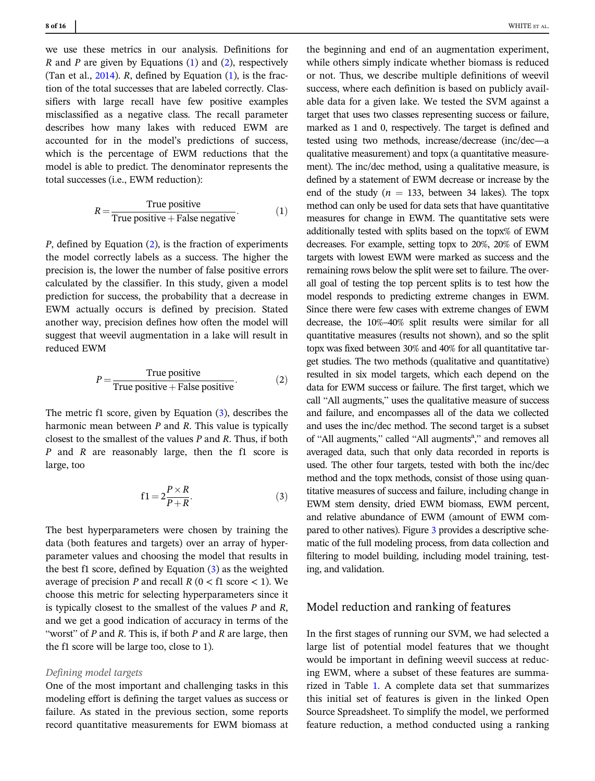we use these metrics in our analysis. Definitions for R and P are given by Equations  $(1)$  and  $(2)$ , respectively (Tan et al.,  $2014$ ). R, defined by Equation  $(1)$ , is the fraction of the total successes that are labeled correctly. Classifiers with large recall have few positive examples misclassified as a negative class. The recall parameter describes how many lakes with reduced EWM are accounted for in the model's predictions of success, which is the percentage of EWM reductions that the model is able to predict. The denominator represents the total successes (i.e., EWM reduction):

$$
R = \frac{\text{True positive}}{\text{True positive} + \text{False negative}}.
$$
 (1)

P, defined by Equation (2), is the fraction of experiments the model correctly labels as a success. The higher the precision is, the lower the number of false positive errors calculated by the classifier. In this study, given a model prediction for success, the probability that a decrease in EWM actually occurs is defined by precision. Stated another way, precision defines how often the model will suggest that weevil augmentation in a lake will result in reduced EWM

$$
P = \frac{\text{True positive}}{\text{True positive} + \text{False positive}}.
$$
 (2)

The metric f1 score, given by Equation (3), describes the harmonic mean between  $P$  and  $R$ . This value is typically closest to the smallest of the values P and R. Thus, if both P and R are reasonably large, then the f1 score is large, too

$$
f1 = 2\frac{P \times R}{P + R}.\tag{3}
$$

The best hyperparameters were chosen by training the data (both features and targets) over an array of hyperparameter values and choosing the model that results in the best f1 score, defined by Equation (3) as the weighted average of precision P and recall  $R$  ( $0 <$  f1 score  $<$  1). We choose this metric for selecting hyperparameters since it is typically closest to the smallest of the values  $P$  and  $R$ , and we get a good indication of accuracy in terms of the "worst" of  $P$  and  $R$ . This is, if both  $P$  and  $R$  are large, then the f1 score will be large too, close to 1).

#### Defining model targets

One of the most important and challenging tasks in this modeling effort is defining the target values as success or failure. As stated in the previous section, some reports record quantitative measurements for EWM biomass at

the beginning and end of an augmentation experiment, while others simply indicate whether biomass is reduced or not. Thus, we describe multiple definitions of weevil success, where each definition is based on publicly available data for a given lake. We tested the SVM against a target that uses two classes representing success or failure, marked as 1 and 0, respectively. The target is defined and tested using two methods, increase/decrease (inc/dec—a qualitative measurement) and topx (a quantitative measurement). The inc/dec method, using a qualitative measure, is defined by a statement of EWM decrease or increase by the end of the study ( $n = 133$ , between 34 lakes). The topx method can only be used for data sets that have quantitative measures for change in EWM. The quantitative sets were additionally tested with splits based on the topx% of EWM decreases. For example, setting topx to 20%, 20% of EWM targets with lowest EWM were marked as success and the remaining rows below the split were set to failure. The overall goal of testing the top percent splits is to test how the model responds to predicting extreme changes in EWM. Since there were few cases with extreme changes of EWM decrease, the 10%–40% split results were similar for all quantitative measures (results not shown), and so the split topx was fixed between 30% and 40% for all quantitative target studies. The two methods (qualitative and quantitative) resulted in six model targets, which each depend on the data for EWM success or failure. The first target, which we call "All augments," uses the qualitative measure of success and failure, and encompasses all of the data we collected and uses the inc/dec method. The second target is a subset of "All augments," called "All augments<sup>a</sup>," and removes all averaged data, such that only data recorded in reports is used. The other four targets, tested with both the inc/dec method and the topx methods, consist of those using quantitative measures of success and failure, including change in EWM stem density, dried EWM biomass, EWM percent, and relative abundance of EWM (amount of EWM compared to other natives). Figure [3](#page-8-0) provides a descriptive schematic of the full modeling process, from data collection and filtering to model building, including model training, testing, and validation.

## Model reduction and ranking of features

In the first stages of running our SVM, we had selected a large list of potential model features that we thought would be important in defining weevil success at reducing EWM, where a subset of these features are summarized in Table [1.](#page-3-0) A complete data set that summarizes this initial set of features is given in the linked Open Source Spreadsheet. To simplify the model, we performed feature reduction, a method conducted using a ranking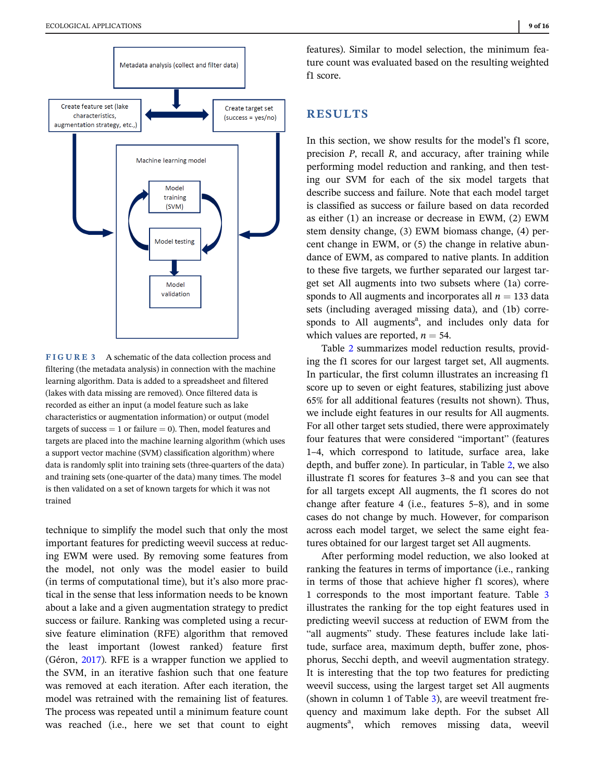<span id="page-8-0"></span>

FIGURE 3 A schematic of the data collection process and filtering (the metadata analysis) in connection with the machine learning algorithm. Data is added to a spreadsheet and filtered (lakes with data missing are removed). Once filtered data is recorded as either an input (a model feature such as lake characteristics or augmentation information) or output (model targets of success  $= 1$  or failure  $= 0$ ). Then, model features and targets are placed into the machine learning algorithm (which uses a support vector machine (SVM) classification algorithm) where data is randomly split into training sets (three-quarters of the data) and training sets (one-quarter of the data) many times. The model is then validated on a set of known targets for which it was not trained

technique to simplify the model such that only the most important features for predicting weevil success at reducing EWM were used. By removing some features from the model, not only was the model easier to build (in terms of computational time), but it's also more practical in the sense that less information needs to be known about a lake and a given augmentation strategy to predict success or failure. Ranking was completed using a recursive feature elimination (RFE) algorithm that removed the least important (lowest ranked) feature first (Géron, [2017](#page-14-0)). RFE is a wrapper function we applied to the SVM, in an iterative fashion such that one feature was removed at each iteration. After each iteration, the model was retrained with the remaining list of features. The process was repeated until a minimum feature count was reached (i.e., here we set that count to eight

features). Similar to model selection, the minimum feature count was evaluated based on the resulting weighted f1 score.

# RESULTS

In this section, we show results for the model's f1 score, precision P, recall R, and accuracy, after training while performing model reduction and ranking, and then testing our SVM for each of the six model targets that describe success and failure. Note that each model target is classified as success or failure based on data recorded as either (1) an increase or decrease in EWM, (2) EWM stem density change, (3) EWM biomass change, (4) percent change in EWM, or (5) the change in relative abundance of EWM, as compared to native plants. In addition to these five targets, we further separated our largest target set All augments into two subsets where (1a) corresponds to All augments and incorporates all  $n = 133$  data sets (including averaged missing data), and (1b) corresponds to All augments<sup>a</sup>, and includes only data for which values are reported,  $n = 54$ .

Table [2](#page-9-0) summarizes model reduction results, providing the f1 scores for our largest target set, All augments. In particular, the first column illustrates an increasing f1 score up to seven or eight features, stabilizing just above 65% for all additional features (results not shown). Thus, we include eight features in our results for All augments. For all other target sets studied, there were approximately four features that were considered "important" (features 1–4, which correspond to latitude, surface area, lake depth, and buffer zone). In particular, in Table [2,](#page-9-0) we also illustrate f1 scores for features 3–8 and you can see that for all targets except All augments, the f1 scores do not change after feature 4 (i.e., features 5–8), and in some cases do not change by much. However, for comparison across each model target, we select the same eight features obtained for our largest target set All augments.

After performing model reduction, we also looked at ranking the features in terms of importance (i.e., ranking in terms of those that achieve higher f1 scores), where 1 corresponds to the most important feature. Table [3](#page-9-0) illustrates the ranking for the top eight features used in predicting weevil success at reduction of EWM from the "all augments" study. These features include lake latitude, surface area, maximum depth, buffer zone, phosphorus, Secchi depth, and weevil augmentation strategy. It is interesting that the top two features for predicting weevil success, using the largest target set All augments (shown in column 1 of Table [3\)](#page-9-0), are weevil treatment frequency and maximum lake depth. For the subset All augments<sup>a</sup>, which removes missing data, weevil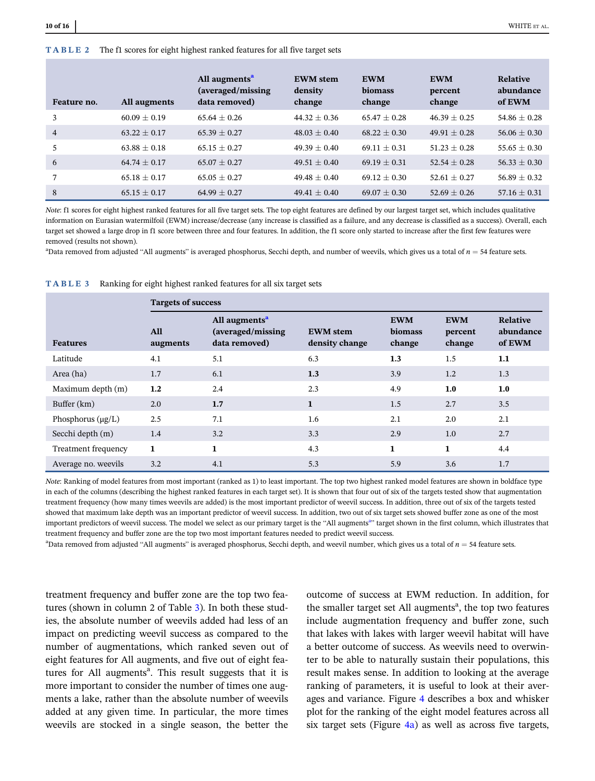<span id="page-9-0"></span>

| Feature no.    | All augments     | All augments <sup>a</sup><br>(averaged/missing)<br>data removed) | <b>EWM</b> stem<br>density<br>change | <b>EWM</b><br>biomass<br>change | <b>EWM</b><br>percent<br>change | Relative<br>abundance<br>of EWM |
|----------------|------------------|------------------------------------------------------------------|--------------------------------------|---------------------------------|---------------------------------|---------------------------------|
| 3              | $60.09 + 0.19$   | $65.64 + 0.26$                                                   | $44.32 + 0.36$                       | $65.47 + 0.28$                  | $46.39 + 0.25$                  | $54.86 + 0.28$                  |
| $\overline{4}$ | $63.22 + 0.17$   | $65.39 + 0.27$                                                   | $48.03 \pm 0.40$                     | $68.22 + 0.30$                  | $49.91 + 0.28$                  | $56.06 + 0.30$                  |
| 5              | $63.88 + 0.18$   | $65.15 + 0.27$                                                   | $49.39 + 0.40$                       | $69.11 + 0.31$                  | $51.23 + 0.28$                  | $55.65 + 0.30$                  |
| 6              | $64.74 + 0.17$   | $65.07 + 0.27$                                                   | $49.51 + 0.40$                       | $69.19 \pm 0.31$                | $52.54 + 0.28$                  | $56.33 + 0.30$                  |
| 7              | $65.18 + 0.17$   | $65.05 + 0.27$                                                   | $49.48 + 0.40$                       | $69.12 + 0.30$                  | $52.61 + 0.27$                  | $56.89 + 0.32$                  |
| 8              | $65.15 \pm 0.17$ | $64.99 + 0.27$                                                   | $49.41 \pm 0.40$                     | $69.07 + 0.30$                  | $52.69 + 0.26$                  | $57.16 + 0.31$                  |

Note: f1 scores for eight highest ranked features for all five target sets. The top eight features are defined by our largest target set, which includes qualitative information on Eurasian watermilfoil (EWM) increase/decrease (any increase is classified as a failure, and any decrease is classified as a success). Overall, each target set showed a large drop in f1 score between three and four features. In addition, the f1 score only started to increase after the first few features were removed (results not shown).

 $a<sup>a</sup>$ Data removed from adjusted "All augments" is averaged phosphorus, Secchi depth, and number of weevils, which gives us a total of  $n = 54$  feature sets.

|                            | <b>Targets of success</b> |                                                                 |                                   |                                 |                                 |                                 |  |  |
|----------------------------|---------------------------|-----------------------------------------------------------------|-----------------------------------|---------------------------------|---------------------------------|---------------------------------|--|--|
| <b>Features</b>            | <b>All</b><br>augments    | All augments <sup>a</sup><br>(averaged/missing<br>data removed) | <b>EWM</b> stem<br>density change | <b>EWM</b><br>biomass<br>change | <b>EWM</b><br>percent<br>change | Relative<br>abundance<br>of EWM |  |  |
| Latitude                   | 4.1                       | 5.1                                                             | 6.3                               | 1.3                             | 1.5                             | 1.1                             |  |  |
| Area (ha)                  | 1.7                       | 6.1                                                             | 1.3                               | 3.9                             | 1.2                             | 1.3                             |  |  |
| Maximum depth (m)          | 1.2                       | 2.4                                                             | 2.3                               | 4.9                             | 1.0                             | 1.0                             |  |  |
| Buffer (km)                | 2.0                       | 1.7                                                             | $\mathbf{1}$                      | 1.5                             | 2.7                             | 3.5                             |  |  |
| Phosphorus $(\mu g/L)$     | 2.5                       | 7.1                                                             | 1.6                               | 2.1                             | 2.0                             | 2.1                             |  |  |
| Secchi depth (m)           | 1.4                       | 3.2                                                             | 3.3                               | 2.9                             | 1.0                             | 2.7                             |  |  |
| <b>Treatment frequency</b> | $\mathbf{1}$              | 1                                                               | 4.3                               | $\mathbf{1}$                    | $\mathbf{1}$                    | 4.4                             |  |  |
| Average no. weevils        | 3.2                       | 4.1                                                             | 5.3                               | 5.9                             | 3.6                             | 1.7                             |  |  |

TABLE 3 Ranking for eight highest ranked features for all six target sets

Note: Ranking of model features from most important (ranked as 1) to least important. The top two highest ranked model features are shown in boldface type in each of the columns (describing the highest ranked features in each target set). It is shown that four out of six of the targets tested show that augmentation treatment frequency (how many times weevils are added) is the most important predictor of weevil success. In addition, three out of six of the targets tested showed that maximum lake depth was an important predictor of weevil success. In addition, two out of six target sets showed buffer zone as one of the most important predictors of weevil success. The model we select as our primary target is the "All augments<sup>a</sup>" target shown in the first column, which illustrates that treatment frequency and buffer zone are the top two most important features needed to predict weevil success.

<sup>a</sup>Data removed from adjusted "All augments" is averaged phosphorus, Secchi depth, and weevil number, which gives us a total of  $n = 54$  feature sets.

treatment frequency and buffer zone are the top two features (shown in column 2 of Table 3). In both these studies, the absolute number of weevils added had less of an impact on predicting weevil success as compared to the number of augmentations, which ranked seven out of eight features for All augments, and five out of eight features for All augments<sup>a</sup>. This result suggests that it is more important to consider the number of times one augments a lake, rather than the absolute number of weevils added at any given time. In particular, the more times weevils are stocked in a single season, the better the

outcome of success at EWM reduction. In addition, for the smaller target set All augments<sup>a</sup>, the top two features include augmentation frequency and buffer zone, such that lakes with lakes with larger weevil habitat will have a better outcome of success. As weevils need to overwinter to be able to naturally sustain their populations, this result makes sense. In addition to looking at the average ranking of parameters, it is useful to look at their averages and variance. Figure [4](#page-10-0) describes a box and whisker plot for the ranking of the eight model features across all six target sets (Figure [4a\)](#page-10-0) as well as across five targets,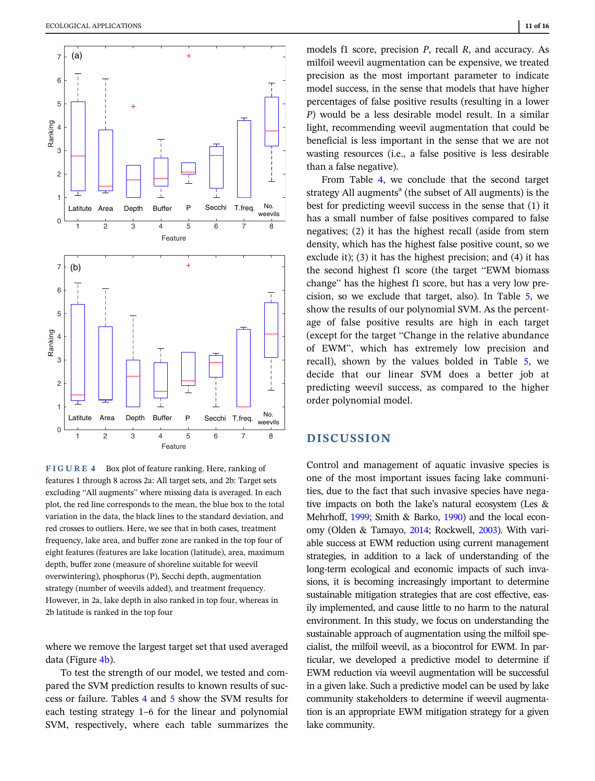<span id="page-10-0"></span>

FIGURE 4 Box plot of feature ranking. Here, ranking of features 1 through 8 across 2a: All target sets, and 2b: Target sets excluding "All augments" where missing data is averaged. In each plot, the red line corresponds to the mean, the blue box to the total variation in the data, the black lines to the standard deviation, and red crosses to outliers. Here, we see that in both cases, treatment frequency, lake area, and buffer zone are ranked in the top four of eight features (features are lake location (latitude), area, maximum depth, buffer zone (measure of shoreline suitable for weevil overwintering), phosphorus (P), Secchi depth, augmentation strategy (number of weevils added), and treatment frequency. However, in 2a, lake depth in also ranked in top four, whereas in 2b latitude is ranked in the top four

where we remove the largest target set that used averaged data (Figure 4b).

To test the strength of our model, we tested and compared the SVM prediction results to known results of success or failure. Tables [4](#page-11-0) and [5](#page-11-0) show the SVM results for each testing strategy 1–6 for the linear and polynomial SVM, respectively, where each table summarizes the

models f1 score, precision  $P$ , recall  $R$ , and accuracy. As milfoil weevil augmentation can be expensive, we treated precision as the most important parameter to indicate model success, in the sense that models that have higher percentages of false positive results (resulting in a lower P) would be a less desirable model result. In a similar light, recommending weevil augmentation that could be beneficial is less important in the sense that we are not wasting resources (i.e., a false positive is less desirable than a false negative).

From Table [4](#page-11-0), we conclude that the second target strategy All augments<sup>a</sup> (the subset of All augments) is the best for predicting weevil success in the sense that (1) it has a small number of false positives compared to false negatives; (2) it has the highest recall (aside from stem density, which has the highest false positive count, so we exclude it); (3) it has the highest precision; and (4) it has the second highest f1 score (the target "EWM biomass change" has the highest f1 score, but has a very low precision, so we exclude that target, also). In Table [5,](#page-11-0) we show the results of our polynomial SVM. As the percentage of false positive results are high in each target (except for the target "Change in the relative abundance of EWM", which has extremely low precision and recall), shown by the values bolded in Table [5](#page-11-0), we decide that our linear SVM does a better job at predicting weevil success, as compared to the higher order polynomial model.

# **DISCUSSION**

Control and management of aquatic invasive species is one of the most important issues facing lake communities, due to the fact that such invasive species have negative impacts on both the lake's natural ecosystem (Les & Mehrhoff, [1999;](#page-15-0) Smith & Barko, [1990](#page-15-0)) and the local economy (Olden & Tamayo, [2014;](#page-15-0) Rockwell, [2003\)](#page-15-0). With variable success at EWM reduction using current management strategies, in addition to a lack of understanding of the long-term ecological and economic impacts of such invasions, it is becoming increasingly important to determine sustainable mitigation strategies that are cost effective, easily implemented, and cause little to no harm to the natural environment. In this study, we focus on understanding the sustainable approach of augmentation using the milfoil specialist, the milfoil weevil, as a biocontrol for EWM. In particular, we developed a predictive model to determine if EWM reduction via weevil augmentation will be successful in a given lake. Such a predictive model can be used by lake community stakeholders to determine if weevil augmentation is an appropriate EWM mitigation strategy for a given lake community.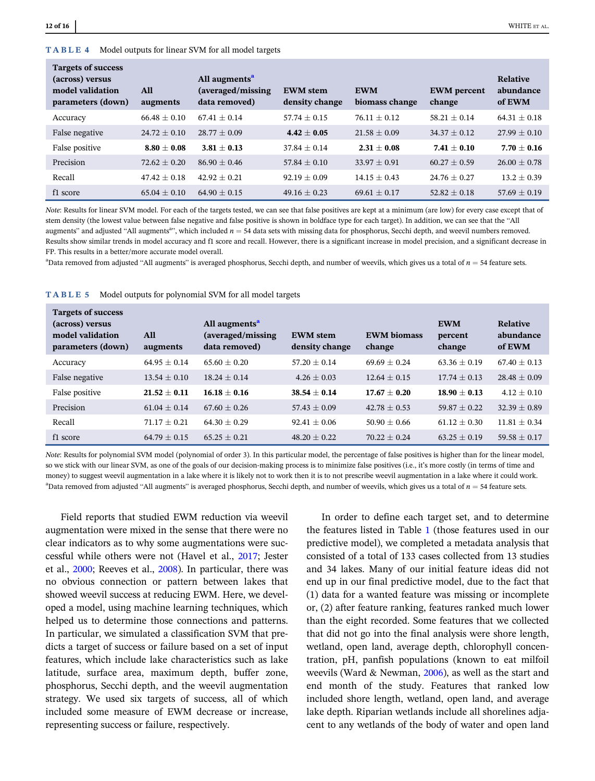#### <span id="page-11-0"></span>TABLE 4 Model outputs for linear SVM for all model targets

| <b>Targets of success</b><br>(across) versus<br>model validation<br>parameters (down) | All<br>augments  | All augments <sup>a</sup><br>(averaged/missing)<br>data removed) | <b>EWM</b> stem<br>density change | <b>EWM</b><br>biomass change | <b>EWM</b> percent<br>change | Relative<br>abundance<br>of EWM |
|---------------------------------------------------------------------------------------|------------------|------------------------------------------------------------------|-----------------------------------|------------------------------|------------------------------|---------------------------------|
| Accuracy                                                                              | $66.48 + 0.10$   | $67.41 + 0.14$                                                   | $57.74 + 0.15$                    | $76.11 + 0.12$               | $58.21 + 0.14$               | $64.31 + 0.18$                  |
| False negative                                                                        | $24.72 + 0.10$   | $28.77 + 0.09$                                                   | $4.42 + 0.05$                     | $21.58 + 0.09$               | $34.37 + 0.12$               | $27.99 + 0.10$                  |
| False positive                                                                        | $8.80 + 0.08$    | $3.81 + 0.13$                                                    | $37.84 + 0.14$                    | $2.31 + 0.08$                | $7.41 + 0.10$                | $7.70 + 0.16$                   |
| Precision                                                                             | $72.62 + 0.20$   | $86.90 + 0.46$                                                   | $57.84 + 0.10$                    | $33.97 + 0.91$               | $60.27 + 0.59$               | $26.00 + 0.78$                  |
| Recall                                                                                | $47.42 + 0.18$   | $42.92 + 0.21$                                                   | $92.19 + 0.09$                    | $14.15 + 0.43$               | $24.76 + 0.27$               | $13.2 + 0.39$                   |
| f1 score                                                                              | $65.04 \pm 0.10$ | $64.90 + 0.15$                                                   | $49.16 \pm 0.23$                  | $69.61 + 0.17$               | $52.82 \pm 0.18$             | $57.69 \pm 0.19$                |

Note: Results for linear SVM model. For each of the targets tested, we can see that false positives are kept at a minimum (are low) for every case except that of stem density (the lowest value between false negative and false positive is shown in boldface type for each target). In addition, we can see that the "All augments" and adjusted "All augments<sup>a</sup>", which included  $n = 54$  data sets with missing data for phosphorus, Secchi depth, and weevil numbers removed. Results show similar trends in model accuracy and f1 score and recall. However, there is a significant increase in model precision, and a significant decrease in FP. This results in a better/more accurate model overall.

 $a<sup>a</sup>$ Data removed from adjusted "All augments" is averaged phosphorus, Secchi depth, and number of weevils, which gives us a total of  $n = 54$  feature sets.

| Targets of success<br>(across) versus<br>model validation<br>parameters (down) | All<br>augments  | All augments <sup>a</sup><br>(averaged/missing<br>data removed) | <b>EWM</b> stem<br>density change | <b>EWM</b> biomass<br>change | <b>EWM</b><br>percent<br>change | Relative<br>abundance<br>of EWM |
|--------------------------------------------------------------------------------|------------------|-----------------------------------------------------------------|-----------------------------------|------------------------------|---------------------------------|---------------------------------|
| Accuracy                                                                       | $64.95 + 0.14$   | $65.60 + 0.20$                                                  | $57.20 + 0.14$                    | $69.69 \pm 0.24$             | $63.36 + 0.19$                  | $67.40 + 0.13$                  |
| False negative                                                                 | $13.54 + 0.10$   | $18.24 + 0.14$                                                  | $4.26 \pm 0.03$                   | $12.64 + 0.15$               | $17.74 + 0.13$                  | $28.48 + 0.09$                  |
| False positive                                                                 | $21.52 + 0.11$   | $16.18 + 0.16$                                                  | $38.54 \pm 0.14$                  | $17.67 + 0.20$               | $18.90 + 0.13$                  | $4.12 + 0.10$                   |
| Precision                                                                      | $61.04 + 0.14$   | $67.60 + 0.26$                                                  | $57.43 + 0.09$                    | $42.78 + 0.53$               | $59.87 + 0.22$                  | $32.39 + 0.89$                  |
| Recall                                                                         | $71.17 + 0.21$   | $64.30 + 0.29$                                                  | $92.41 + 0.06$                    | $50.90 + 0.66$               | $61.12 + 0.30$                  | $11.81 + 0.34$                  |
| f1 score                                                                       | $64.79 \pm 0.15$ | $65.25 + 0.21$                                                  | $48.20 + 0.22$                    | $70.22 + 0.24$               | $63.25 + 0.19$                  | $59.58 + 0.17$                  |

#### TABLE 5 Model outputs for polynomial SVM for all model targets

Note: Results for polynomial SVM model (polynomial of order 3). In this particular model, the percentage of false positives is higher than for the linear model, so we stick with our linear SVM, as one of the goals of our decision-making process is to minimize false positives (i.e., it's more costly (in terms of time and money) to suggest weevil augmentation in a lake where it is likely not to work then it is to not prescribe weevil augmentation in a lake where it could work.  $a<sup>a</sup>$ Data removed from adjusted "All augments" is averaged phosphorus, Secchi depth, and number of weevils, which gives us a total of  $n = 54$  feature sets.

Field reports that studied EWM reduction via weevil augmentation were mixed in the sense that there were no clear indicators as to why some augmentations were successful while others were not (Havel et al., [2017;](#page-14-0) Jester et al., [2000](#page-14-0); Reeves et al., [2008\)](#page-15-0). In particular, there was no obvious connection or pattern between lakes that showed weevil success at reducing EWM. Here, we developed a model, using machine learning techniques, which helped us to determine those connections and patterns. In particular, we simulated a classification SVM that predicts a target of success or failure based on a set of input features, which include lake characteristics such as lake latitude, surface area, maximum depth, buffer zone, phosphorus, Secchi depth, and the weevil augmentation strategy. We used six targets of success, all of which included some measure of EWM decrease or increase, representing success or failure, respectively.

In order to define each target set, and to determine the features listed in Table [1](#page-3-0) (those features used in our predictive model), we completed a metadata analysis that consisted of a total of 133 cases collected from 13 studies and 34 lakes. Many of our initial feature ideas did not end up in our final predictive model, due to the fact that (1) data for a wanted feature was missing or incomplete or, (2) after feature ranking, features ranked much lower than the eight recorded. Some features that we collected that did not go into the final analysis were shore length, wetland, open land, average depth, chlorophyll concentration, pH, panfish populations (known to eat milfoil weevils (Ward & Newman, [2006\)](#page-15-0), as well as the start and end month of the study. Features that ranked low included shore length, wetland, open land, and average lake depth. Riparian wetlands include all shorelines adjacent to any wetlands of the body of water and open land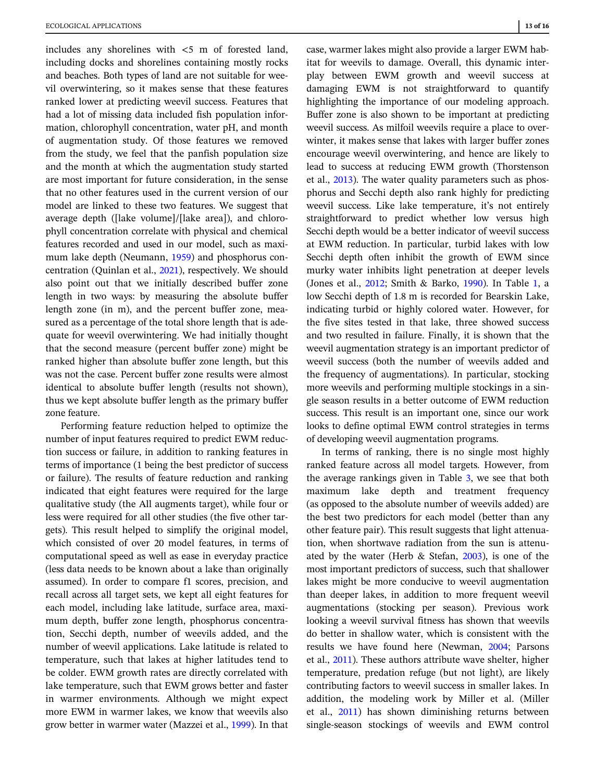includes any shorelines with <5 m of forested land, including docks and shorelines containing mostly rocks and beaches. Both types of land are not suitable for weevil overwintering, so it makes sense that these features ranked lower at predicting weevil success. Features that had a lot of missing data included fish population information, chlorophyll concentration, water pH, and month of augmentation study. Of those features we removed from the study, we feel that the panfish population size and the month at which the augmentation study started are most important for future consideration, in the sense that no other features used in the current version of our model are linked to these two features. We suggest that average depth ([lake volume]/[lake area]), and chlorophyll concentration correlate with physical and chemical features recorded and used in our model, such as maximum lake depth (Neumann, [1959](#page-15-0)) and phosphorus concentration (Quinlan et al., [2021](#page-15-0)), respectively. We should also point out that we initially described buffer zone length in two ways: by measuring the absolute buffer length zone (in m), and the percent buffer zone, measured as a percentage of the total shore length that is adequate for weevil overwintering. We had initially thought that the second measure (percent buffer zone) might be ranked higher than absolute buffer zone length, but this was not the case. Percent buffer zone results were almost identical to absolute buffer length (results not shown), thus we kept absolute buffer length as the primary buffer zone feature.

Performing feature reduction helped to optimize the number of input features required to predict EWM reduction success or failure, in addition to ranking features in terms of importance (1 being the best predictor of success or failure). The results of feature reduction and ranking indicated that eight features were required for the large qualitative study (the All augments target), while four or less were required for all other studies (the five other targets). This result helped to simplify the original model, which consisted of over 20 model features, in terms of computational speed as well as ease in everyday practice (less data needs to be known about a lake than originally assumed). In order to compare f1 scores, precision, and recall across all target sets, we kept all eight features for each model, including lake latitude, surface area, maximum depth, buffer zone length, phosphorus concentration, Secchi depth, number of weevils added, and the number of weevil applications. Lake latitude is related to temperature, such that lakes at higher latitudes tend to be colder. EWM growth rates are directly correlated with lake temperature, such that EWM grows better and faster in warmer environments. Although we might expect more EWM in warmer lakes, we know that weevils also grow better in warmer water (Mazzei et al., [1999](#page-15-0)). In that

case, warmer lakes might also provide a larger EWM habitat for weevils to damage. Overall, this dynamic interplay between EWM growth and weevil success at damaging EWM is not straightforward to quantify highlighting the importance of our modeling approach. Buffer zone is also shown to be important at predicting weevil success. As milfoil weevils require a place to overwinter, it makes sense that lakes with larger buffer zones encourage weevil overwintering, and hence are likely to lead to success at reducing EWM growth (Thorstenson et al., [2013](#page-15-0)). The water quality parameters such as phosphorus and Secchi depth also rank highly for predicting weevil success. Like lake temperature, it's not entirely straightforward to predict whether low versus high Secchi depth would be a better indicator of weevil success at EWM reduction. In particular, turbid lakes with low Secchi depth often inhibit the growth of EWM since murky water inhibits light penetration at deeper levels (Jones et al., [2012](#page-14-0); Smith & Barko, [1990](#page-15-0)). In Table [1](#page-3-0), a low Secchi depth of 1.8 m is recorded for Bearskin Lake, indicating turbid or highly colored water. However, for the five sites tested in that lake, three showed success and two resulted in failure. Finally, it is shown that the weevil augmentation strategy is an important predictor of weevil success (both the number of weevils added and the frequency of augmentations). In particular, stocking more weevils and performing multiple stockings in a single season results in a better outcome of EWM reduction success. This result is an important one, since our work looks to define optimal EWM control strategies in terms of developing weevil augmentation programs.

In terms of ranking, there is no single most highly ranked feature across all model targets. However, from the average rankings given in Table [3](#page-9-0), we see that both maximum lake depth and treatment frequency (as opposed to the absolute number of weevils added) are the best two predictors for each model (better than any other feature pair). This result suggests that light attenuation, when shortwave radiation from the sun is attenuated by the water (Herb & Stefan, [2003\)](#page-14-0), is one of the most important predictors of success, such that shallower lakes might be more conducive to weevil augmentation than deeper lakes, in addition to more frequent weevil augmentations (stocking per season). Previous work looking a weevil survival fitness has shown that weevils do better in shallow water, which is consistent with the results we have found here (Newman, [2004](#page-15-0); Parsons et al., [2011\)](#page-15-0). These authors attribute wave shelter, higher temperature, predation refuge (but not light), are likely contributing factors to weevil success in smaller lakes. In addition, the modeling work by Miller et al. (Miller et al., [2011](#page-15-0)) has shown diminishing returns between single-season stockings of weevils and EWM control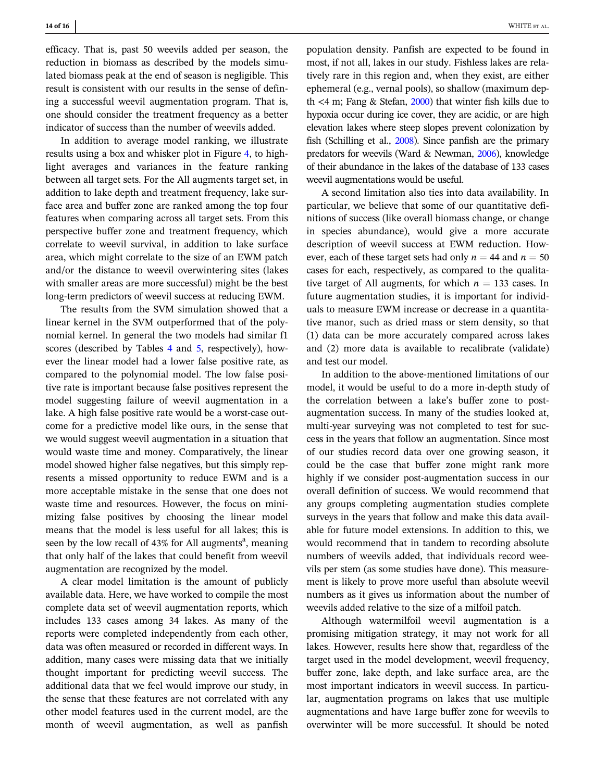efficacy. That is, past 50 weevils added per season, the reduction in biomass as described by the models simulated biomass peak at the end of season is negligible. This result is consistent with our results in the sense of defining a successful weevil augmentation program. That is, one should consider the treatment frequency as a better indicator of success than the number of weevils added.

In addition to average model ranking, we illustrate results using a box and whisker plot in Figure [4,](#page-10-0) to highlight averages and variances in the feature ranking between all target sets. For the All augments target set, in addition to lake depth and treatment frequency, lake surface area and buffer zone are ranked among the top four features when comparing across all target sets. From this perspective buffer zone and treatment frequency, which correlate to weevil survival, in addition to lake surface area, which might correlate to the size of an EWM patch and/or the distance to weevil overwintering sites (lakes with smaller areas are more successful) might be the best long-term predictors of weevil success at reducing EWM.

The results from the SVM simulation showed that a linear kernel in the SVM outperformed that of the polynomial kernel. In general the two models had similar f1 scores (described by Tables [4](#page-11-0) and [5](#page-11-0), respectively), however the linear model had a lower false positive rate, as compared to the polynomial model. The low false positive rate is important because false positives represent the model suggesting failure of weevil augmentation in a lake. A high false positive rate would be a worst-case outcome for a predictive model like ours, in the sense that we would suggest weevil augmentation in a situation that would waste time and money. Comparatively, the linear model showed higher false negatives, but this simply represents a missed opportunity to reduce EWM and is a more acceptable mistake in the sense that one does not waste time and resources. However, the focus on minimizing false positives by choosing the linear model means that the model is less useful for all lakes; this is seen by the low recall of 43% for All augments<sup>a</sup>, meaning that only half of the lakes that could benefit from weevil augmentation are recognized by the model.

A clear model limitation is the amount of publicly available data. Here, we have worked to compile the most complete data set of weevil augmentation reports, which includes 133 cases among 34 lakes. As many of the reports were completed independently from each other, data was often measured or recorded in different ways. In addition, many cases were missing data that we initially thought important for predicting weevil success. The additional data that we feel would improve our study, in the sense that these features are not correlated with any other model features used in the current model, are the month of weevil augmentation, as well as panfish

population density. Panfish are expected to be found in most, if not all, lakes in our study. Fishless lakes are relatively rare in this region and, when they exist, are either ephemeral (e.g., vernal pools), so shallow (maximum depth  $\lt$ 4 m; Fang & Stefan, [2000\)](#page-14-0) that winter fish kills due to hypoxia occur during ice cover, they are acidic, or are high elevation lakes where steep slopes prevent colonization by fish (Schilling et al., [2008](#page-15-0)). Since panfish are the primary predators for weevils (Ward & Newman, [2006\)](#page-15-0), knowledge of their abundance in the lakes of the database of 133 cases weevil augmentations would be useful.

A second limitation also ties into data availability. In particular, we believe that some of our quantitative definitions of success (like overall biomass change, or change in species abundance), would give a more accurate description of weevil success at EWM reduction. However, each of these target sets had only  $n = 44$  and  $n = 50$ cases for each, respectively, as compared to the qualitative target of All augments, for which  $n = 133$  cases. In future augmentation studies, it is important for individuals to measure EWM increase or decrease in a quantitative manor, such as dried mass or stem density, so that (1) data can be more accurately compared across lakes and (2) more data is available to recalibrate (validate) and test our model.

In addition to the above-mentioned limitations of our model, it would be useful to do a more in-depth study of the correlation between a lake's buffer zone to postaugmentation success. In many of the studies looked at, multi-year surveying was not completed to test for success in the years that follow an augmentation. Since most of our studies record data over one growing season, it could be the case that buffer zone might rank more highly if we consider post-augmentation success in our overall definition of success. We would recommend that any groups completing augmentation studies complete surveys in the years that follow and make this data available for future model extensions. In addition to this, we would recommend that in tandem to recording absolute numbers of weevils added, that individuals record weevils per stem (as some studies have done). This measurement is likely to prove more useful than absolute weevil numbers as it gives us information about the number of weevils added relative to the size of a milfoil patch.

Although watermilfoil weevil augmentation is a promising mitigation strategy, it may not work for all lakes. However, results here show that, regardless of the target used in the model development, weevil frequency, buffer zone, lake depth, and lake surface area, are the most important indicators in weevil success. In particular, augmentation programs on lakes that use multiple augmentations and have 1arge buffer zone for weevils to overwinter will be more successful. It should be noted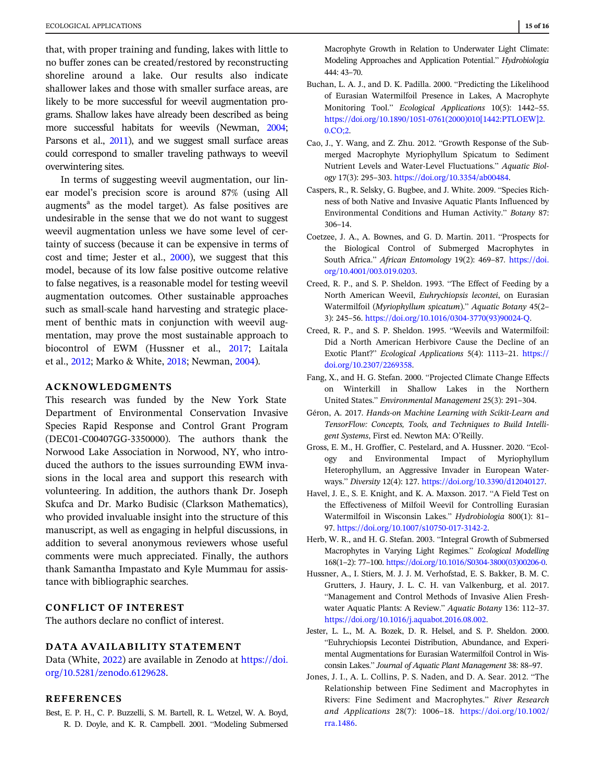<span id="page-14-0"></span>that, with proper training and funding, lakes with little to no buffer zones can be created/restored by reconstructing shoreline around a lake. Our results also indicate shallower lakes and those with smaller surface areas, are likely to be more successful for weevil augmentation programs. Shallow lakes have already been described as being more successful habitats for weevils (Newman, [2004;](#page-15-0) Parsons et al., [2011](#page-15-0)), and we suggest small surface areas could correspond to smaller traveling pathways to weevil overwintering sites.

In terms of suggesting weevil augmentation, our linear model's precision score is around 87% (using All augments<sup>a</sup> as the model target). As false positives are undesirable in the sense that we do not want to suggest weevil augmentation unless we have some level of certainty of success (because it can be expensive in terms of cost and time; Jester et al., 2000), we suggest that this model, because of its low false positive outcome relative to false negatives, is a reasonable model for testing weevil augmentation outcomes. Other sustainable approaches such as small-scale hand harvesting and strategic placement of benthic mats in conjunction with weevil augmentation, may prove the most sustainable approach to biocontrol of EWM (Hussner et al., 2017; Laitala et al., [2012;](#page-15-0) Marko & White, [2018;](#page-15-0) Newman, [2004\)](#page-15-0).

## ACKNOWLEDGMENTS

This research was funded by the New York State Department of Environmental Conservation Invasive Species Rapid Response and Control Grant Program (DEC01-C00407GG-3350000). The authors thank the Norwood Lake Association in Norwood, NY, who introduced the authors to the issues surrounding EWM invasions in the local area and support this research with volunteering. In addition, the authors thank Dr. Joseph Skufca and Dr. Marko Budisic (Clarkson Mathematics), who provided invaluable insight into the structure of this manuscript, as well as engaging in helpful discussions, in addition to several anonymous reviewers whose useful comments were much appreciated. Finally, the authors thank Samantha Impastato and Kyle Mummau for assistance with bibliographic searches.

## CONFLICT OF INTEREST

The authors declare no conflict of interest.

## DATA AVAILABILITY STATEMENT

Data (White, [2022](#page-15-0)) are available in Zenodo at [https://doi.](https://doi.org/10.5281/zenodo.6129628) [org/10.5281/zenodo.6129628.](https://doi.org/10.5281/zenodo.6129628)

#### REFERENCES

Best, E. P. H., C. P. Buzzelli, S. M. Bartell, R. L. Wetzel, W. A. Boyd, R. D. Doyle, and K. R. Campbell. 2001. "Modeling Submersed Macrophyte Growth in Relation to Underwater Light Climate: Modeling Approaches and Application Potential." Hydrobiologia 444: 43–70.

- Buchan, L. A. J., and D. K. Padilla. 2000. "Predicting the Likelihood of Eurasian Watermilfoil Presence in Lakes, A Macrophyte Monitoring Tool." Ecological Applications 10(5): 1442–55. [https://doi.org/10.1890/1051-0761\(2000\)010\[1442:PTLOEW\]2.](https://doi.org/10.1890/1051-0761(2000)010%5B1442:PTLOEW%5D2.0.CO;2) [0.CO;2](https://doi.org/10.1890/1051-0761(2000)010%5B1442:PTLOEW%5D2.0.CO;2).
- Cao, J., Y. Wang, and Z. Zhu. 2012. "Growth Response of the Submerged Macrophyte Myriophyllum Spicatum to Sediment Nutrient Levels and Water-Level Fluctuations." Aquatic Biology 17(3): 295–303. <https://doi.org/10.3354/ab00484>.
- Caspers, R., R. Selsky, G. Bugbee, and J. White. 2009. "Species Richness of both Native and Invasive Aquatic Plants Influenced by Environmental Conditions and Human Activity." Botany 87: 306–14.
- Coetzee, J. A., A. Bownes, and G. D. Martin. 2011. "Prospects for the Biological Control of Submerged Macrophytes in South Africa." African Entomology 19(2): 469–87. [https://doi.](https://doi.org/10.4001/003.019.0203) [org/10.4001/003.019.0203.](https://doi.org/10.4001/003.019.0203)
- Creed, R. P., and S. P. Sheldon. 1993. "The Effect of Feeding by a North American Weevil, Euhrychiopsis lecontei, on Eurasian Watermilfoil (Myriophyllum spicatum)." Aquatic Botany 45(2– 3): 245–56. [https://doi.org/10.1016/0304-3770\(93\)90024-Q](https://doi.org/10.1016/0304-3770(93)90024-Q).
- Creed, R. P., and S. P. Sheldon. 1995. "Weevils and Watermilfoil: Did a North American Herbivore Cause the Decline of an Exotic Plant?" Ecological Applications 5(4): 1113–21. [https://](https://doi.org/10.2307/2269358) [doi.org/10.2307/2269358](https://doi.org/10.2307/2269358).
- Fang, X., and H. G. Stefan. 2000. "Projected Climate Change Effects on Winterkill in Shallow Lakes in the Northern United States." Environmental Management 25(3): 291–304.
- Géron, A. 2017. Hands-on Machine Learning with Scikit-Learn and TensorFlow: Concepts, Tools, and Techniques to Build Intelligent Systems, First ed. Newton MA: O'Reilly.
- Gross, E. M., H. Groffier, C. Pestelard, and A. Hussner. 2020. "Ecology and Environmental Impact of Myriophyllum Heterophyllum, an Aggressive Invader in European Waterways." Diversity 12(4): 127. <https://doi.org/10.3390/d12040127>.
- Havel, J. E., S. E. Knight, and K. A. Maxson. 2017. "A Field Test on the Effectiveness of Milfoil Weevil for Controlling Eurasian Watermilfoil in Wisconsin Lakes." Hydrobiologia 800(1): 81– 97. [https://doi.org/10.1007/s10750-017-3142-2.](https://doi.org/10.1007/s10750-017-3142-2)
- Herb, W. R., and H. G. Stefan. 2003. "Integral Growth of Submersed Macrophytes in Varying Light Regimes." Ecological Modelling 168(1–2): 77–100. [https://doi.org/10.1016/S0304-3800\(03\)00206-0.](https://doi.org/10.1016/S0304-3800(03)00206-0)
- Hussner, A., I. Stiers, M. J. J. M. Verhofstad, E. S. Bakker, B. M. C. Grutters, J. Haury, J. L. C. H. van Valkenburg, et al. 2017. "Management and Control Methods of Invasive Alien Freshwater Aquatic Plants: A Review." Aquatic Botany 136: 112–37. [https://doi.org/10.1016/j.aquabot.2016.08.002.](https://doi.org/10.1016/j.aquabot.2016.08.002)
- Jester, L. L., M. A. Bozek, D. R. Helsel, and S. P. Sheldon. 2000. "Euhrychiopsis Lecontei Distribution, Abundance, and Experimental Augmentations for Eurasian Watermilfoil Control in Wisconsin Lakes." Journal of Aquatic Plant Management 38: 88–97.
- Jones, J. I., A. L. Collins, P. S. Naden, and D. A. Sear. 2012. "The Relationship between Fine Sediment and Macrophytes in Rivers: Fine Sediment and Macrophytes." River Research and Applications 28(7): 1006–18. [https://doi.org/10.1002/](https://doi.org/10.1002/rra.1486) [rra.1486](https://doi.org/10.1002/rra.1486).